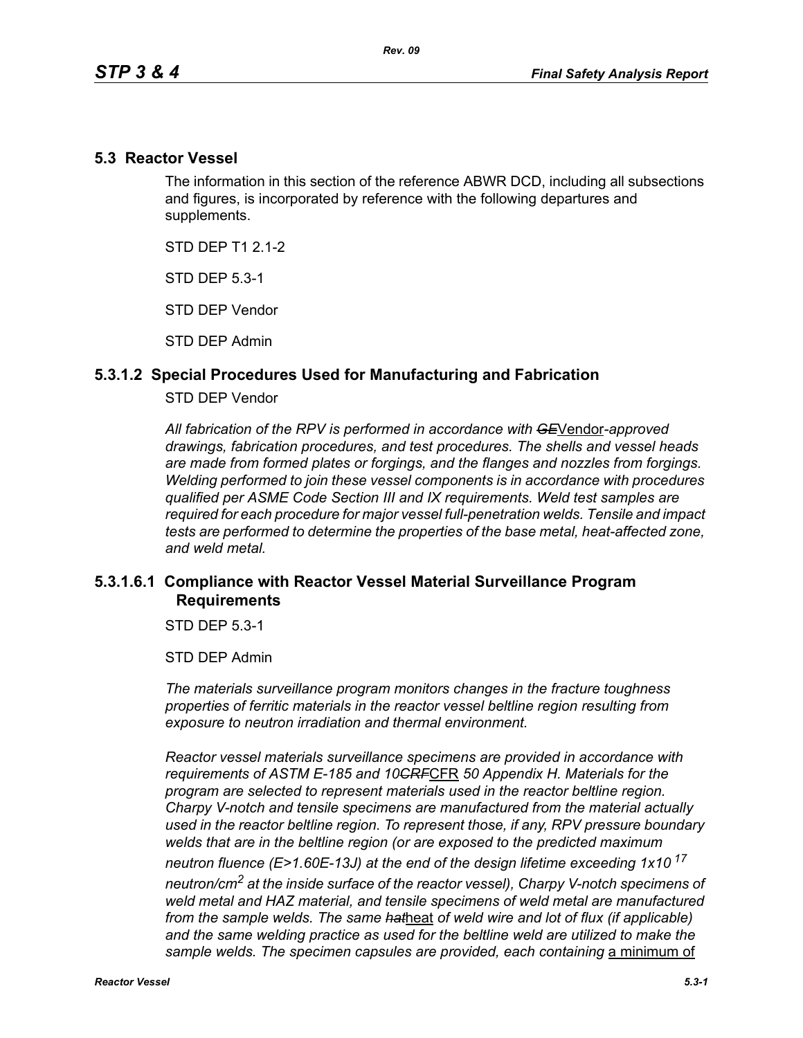### **5.3 Reactor Vessel**

The information in this section of the reference ABWR DCD, including all subsections and figures, is incorporated by reference with the following departures and supplements.

STD DFP T1 2 1-2

STD DEP 5.3-1

STD DEP Vendor

STD DEP Admin

### **5.3.1.2 Special Procedures Used for Manufacturing and Fabrication**

#### STD DEP Vendor

*All fabrication of the RPV is performed in accordance with GE*Vendor*-approved drawings, fabrication procedures, and test procedures. The shells and vessel heads are made from formed plates or forgings, and the flanges and nozzles from forgings. Welding performed to join these vessel components is in accordance with procedures qualified per ASME Code Section III and IX requirements. Weld test samples are required for each procedure for major vessel full-penetration welds. Tensile and impact tests are performed to determine the properties of the base metal, heat-affected zone, and weld metal.*

# **5.3.1.6.1 Compliance with Reactor Vessel Material Surveillance Program Requirements**

STD DEP 5.3-1

STD DEP Admin

*The materials surveillance program monitors changes in the fracture toughness properties of ferritic materials in the reactor vessel beltline region resulting from exposure to neutron irradiation and thermal environment.* 

*Reactor vessel materials surveillance specimens are provided in accordance with requirements of ASTM E-185 and 10CRF*CFR *50 Appendix H. Materials for the program are selected to represent materials used in the reactor beltline region. Charpy V-notch and tensile specimens are manufactured from the material actually used in the reactor beltline region. To represent those, if any, RPV pressure boundary welds that are in the beltline region (or are exposed to the predicted maximum neutron fluence (E>1.60E-13J) at the end of the design lifetime exceeding 1x10<sup>17</sup> neutron/cm2 at the inside surface of the reactor vessel), Charpy V-notch specimens of weld metal and HAZ material, and tensile specimens of weld metal are manufactured from the sample welds. The same hat*heat *of weld wire and lot of flux (if applicable)*  and the same welding practice as used for the beltline weld are utilized to make the sample welds. The specimen capsules are provided, each containing a minimum of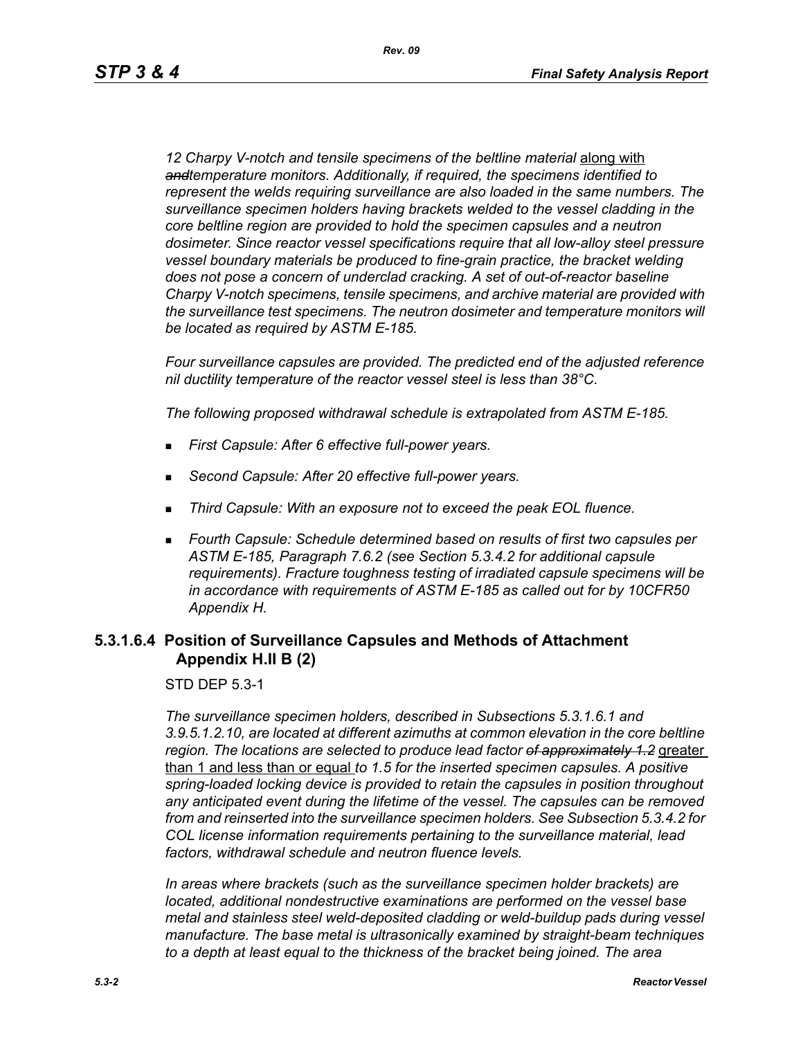12 Charpy V-notch and tensile specimens of the beltline material **along with** *andtemperature monitors. Additionally, if required, the specimens identified to represent the welds requiring surveillance are also loaded in the same numbers. The surveillance specimen holders having brackets welded to the vessel cladding in the core beltline region are provided to hold the specimen capsules and a neutron dosimeter. Since reactor vessel specifications require that all low-alloy steel pressure vessel boundary materials be produced to fine-grain practice, the bracket welding does not pose a concern of underclad cracking. A set of out-of-reactor baseline Charpy V-notch specimens, tensile specimens, and archive material are provided with the surveillance test specimens. The neutron dosimeter and temperature monitors will be located as required by ASTM E-185.*

*Four surveillance capsules are provided. The predicted end of the adjusted reference nil ductility temperature of the reactor vessel steel is less than 38°C.*

*The following proposed withdrawal schedule is extrapolated from ASTM E-185.*

- *First Capsule: After 6 effective full-power years.*
- *Second Capsule: After 20 effective full-power years.*
- *Third Capsule: With an exposure not to exceed the peak EOL fluence.*
- *Fourth Capsule: Schedule determined based on results of first two capsules per ASTM E-185, Paragraph 7.6.2 (see Section 5.3.4.2 for additional capsule requirements). Fracture toughness testing of irradiated capsule specimens will be in accordance with requirements of ASTM E-185 as called out for by 10CFR50 Appendix H.*

### **5.3.1.6.4 Position of Surveillance Capsules and Methods of Attachment Appendix H.II B (2)**

STD DEP 5.3-1

*The surveillance specimen holders, described in Subsections 5.3.1.6.1 and 3.9.5.1.2.10, are located at different azimuths at common elevation in the core beltline region. The locations are selected to produce lead factor of approximately 1.2* greater than 1 and less than or equal *to 1.5 for the inserted specimen capsules. A positive spring-loaded locking device is provided to retain the capsules in position throughout any anticipated event during the lifetime of the vessel. The capsules can be removed from and reinserted into the surveillance specimen holders. See Subsection 5.3.4.2 for COL license information requirements pertaining to the surveillance material, lead factors, withdrawal schedule and neutron fluence levels.*

*In areas where brackets (such as the surveillance specimen holder brackets) are located, additional nondestructive examinations are performed on the vessel base metal and stainless steel weld-deposited cladding or weld-buildup pads during vessel manufacture. The base metal is ultrasonically examined by straight-beam techniques to a depth at least equal to the thickness of the bracket being joined. The area*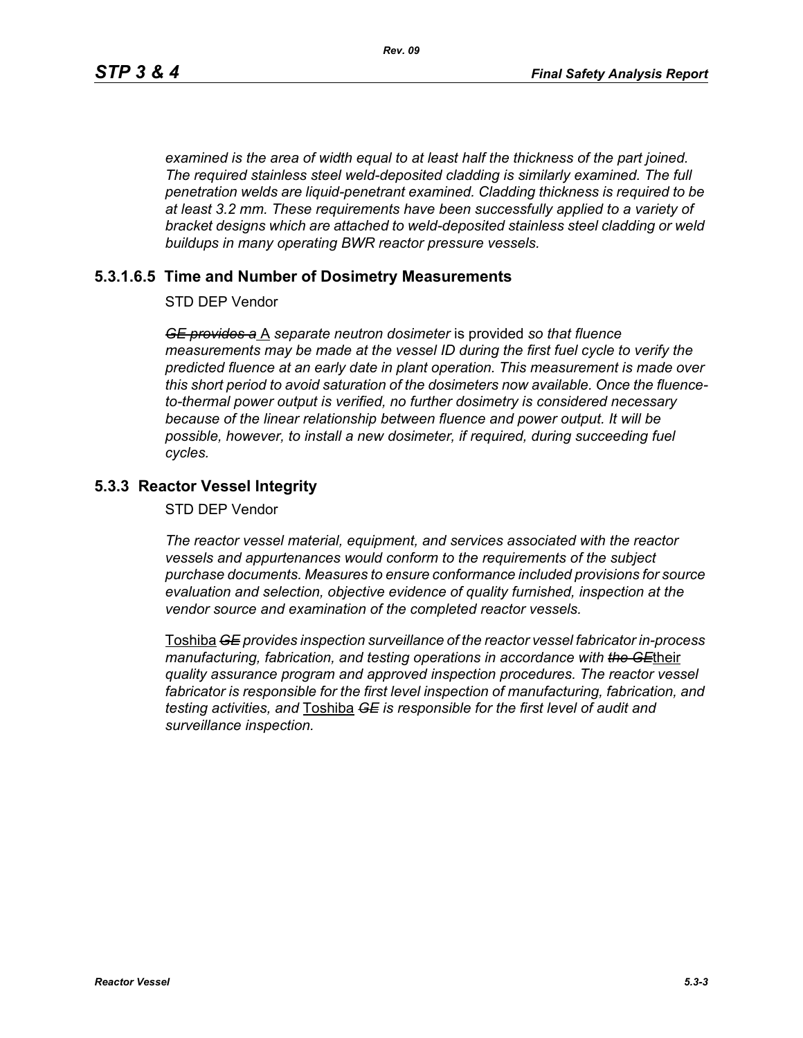*examined is the area of width equal to at least half the thickness of the part joined. The required stainless steel weld-deposited cladding is similarly examined. The full penetration welds are liquid-penetrant examined. Cladding thickness is required to be at least 3.2 mm. These requirements have been successfully applied to a variety of bracket designs which are attached to weld-deposited stainless steel cladding or weld buildups in many operating BWR reactor pressure vessels.*

### **5.3.1.6.5 Time and Number of Dosimetry Measurements**

STD DEP Vendor

*GE provides a* A *separate neutron dosimeter* is provided *so that fluence measurements may be made at the vessel ID during the first fuel cycle to verify the predicted fluence at an early date in plant operation. This measurement is made over this short period to avoid saturation of the dosimeters now available. Once the fluenceto-thermal power output is verified, no further dosimetry is considered necessary because of the linear relationship between fluence and power output. It will be possible, however, to install a new dosimeter, if required, during succeeding fuel cycles.*

### **5.3.3 Reactor Vessel Integrity**

STD DEP Vendor

*The reactor vessel material, equipment, and services associated with the reactor vessels and appurtenances would conform to the requirements of the subject purchase documents. Measures to ensure conformance included provisions for source evaluation and selection, objective evidence of quality furnished, inspection at the vendor source and examination of the completed reactor vessels.*

Toshiba *GE provides inspection surveillance of the reactor vessel fabricator in-process manufacturing, fabrication, and testing operations in accordance with the GE*their *quality assurance program and approved inspection procedures. The reactor vessel fabricator is responsible for the first level inspection of manufacturing, fabrication, and testing activities, and* Toshiba *GE is responsible for the first level of audit and surveillance inspection.*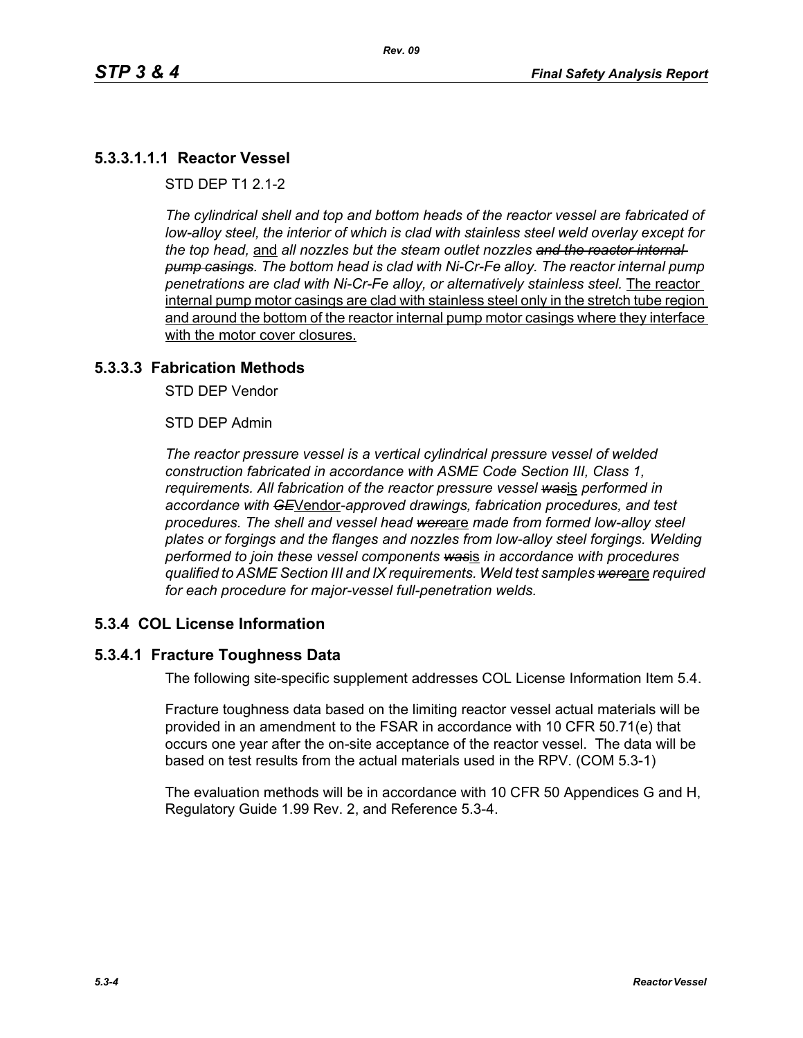# **5.3.3.1.1.1 Reactor Vessel**

STD DEP T1 2.1-2

*The cylindrical shell and top and bottom heads of the reactor vessel are fabricated of low-alloy steel, the interior of which is clad with stainless steel weld overlay except for the top head,* and *all nozzles but the steam outlet nozzles and the reactor internal pump casings. The bottom head is clad with Ni-Cr-Fe alloy. The reactor internal pump penetrations are clad with Ni-Cr-Fe alloy, or alternatively stainless steel.* The reactor internal pump motor casings are clad with stainless steel only in the stretch tube region and around the bottom of the reactor internal pump motor casings where they interface with the motor cover closures.

### **5.3.3.3 Fabrication Methods**

STD DEP Vendor

STD DEP Admin

*The reactor pressure vessel is a vertical cylindrical pressure vessel of welded construction fabricated in accordance with ASME Code Section III, Class 1, requirements. All fabrication of the reactor pressure vessel was*is *performed in accordance with GE*Vendor*-approved drawings, fabrication procedures, and test procedures. The shell and vessel head were*are *made from formed low-alloy steel plates or forgings and the flanges and nozzles from low-alloy steel forgings. Welding performed to join these vessel components was*is *in accordance with procedures qualified to ASME Section III and IX requirements. Weld test samples were*are *required for each procedure for major-vessel full-penetration welds.*

# **5.3.4 COL License Information**

#### **5.3.4.1 Fracture Toughness Data**

The following site-specific supplement addresses COL License Information Item 5.4.

Fracture toughness data based on the limiting reactor vessel actual materials will be provided in an amendment to the FSAR in accordance with 10 CFR 50.71(e) that occurs one year after the on-site acceptance of the reactor vessel. The data will be based on test results from the actual materials used in the RPV. (COM 5.3-1)

The evaluation methods will be in accordance with 10 CFR 50 Appendices G and H, Regulatory Guide 1.99 Rev. 2, and Reference 5.3-4.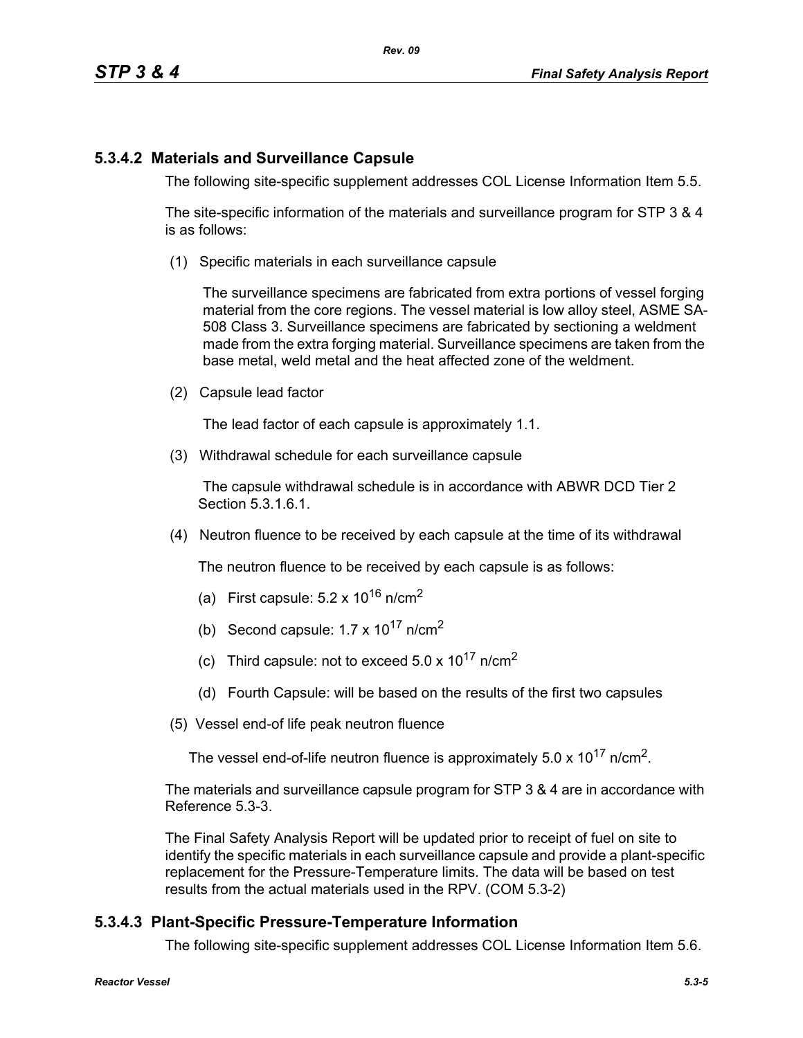# **5.3.4.2 Materials and Surveillance Capsule**

The following site-specific supplement addresses COL License Information Item 5.5.

The site-specific information of the materials and surveillance program for STP 3 & 4 is as follows:

(1) Specific materials in each surveillance capsule

The surveillance specimens are fabricated from extra portions of vessel forging material from the core regions. The vessel material is low alloy steel, ASME SA-508 Class 3. Surveillance specimens are fabricated by sectioning a weldment made from the extra forging material. Surveillance specimens are taken from the base metal, weld metal and the heat affected zone of the weldment.

(2) Capsule lead factor

The lead factor of each capsule is approximately 1.1.

(3) Withdrawal schedule for each surveillance capsule

The capsule withdrawal schedule is in accordance with ABWR DCD Tier 2 Section 5.3.1.6.1.

(4) Neutron fluence to be received by each capsule at the time of its withdrawal

The neutron fluence to be received by each capsule is as follows:

- (a) First capsule:  $5.2 \times 10^{16}$  n/cm<sup>2</sup>
- (b) Second capsule:  $1.7 \times 10^{17}$  n/cm<sup>2</sup>
- (c) Third capsule: not to exceed  $5.0 \times 10^{17}$  n/cm<sup>2</sup>
- (d) Fourth Capsule: will be based on the results of the first two capsules
- (5) Vessel end-of life peak neutron fluence

The vessel end-of-life neutron fluence is approximately  $5.0 \times 10^{17}$  n/cm<sup>2</sup>.

The materials and surveillance capsule program for STP 3 & 4 are in accordance with Reference 5.3-3.

The Final Safety Analysis Report will be updated prior to receipt of fuel on site to identify the specific materials in each surveillance capsule and provide a plant-specific replacement for the Pressure-Temperature limits. The data will be based on test results from the actual materials used in the RPV. (COM 5.3-2)

# **5.3.4.3 Plant-Specific Pressure-Temperature Information**

The following site-specific supplement addresses COL License Information Item 5.6.